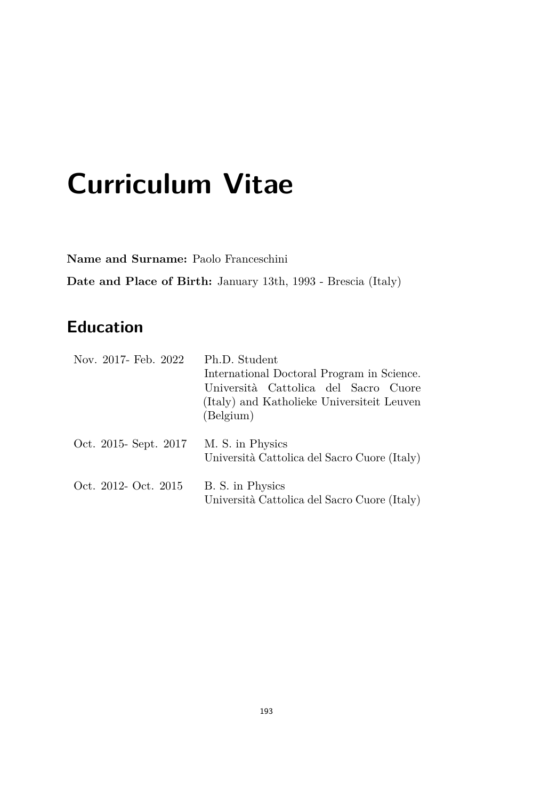# **Curriculum Vitae**

**Name and Surname:** Paolo Franceschini **Date and Place of Birth:** January 13th, 1993 - Brescia (Italy)

### **Education**

| Nov. 2017- Feb. 2022  | Ph.D. Student<br>International Doctoral Program in Science.<br>Università Cattolica del Sacro Cuore<br>(Italy) and Katholieke Universiteit Leuven<br>(Belgium) |
|-----------------------|----------------------------------------------------------------------------------------------------------------------------------------------------------------|
| Oct. 2015- Sept. 2017 | M. S. in Physics<br>Università Cattolica del Sacro Cuore (Italy)                                                                                               |
| Oct. 2012- Oct. 2015  | B. S. in Physics<br>Università Cattolica del Sacro Cuore (Italy)                                                                                               |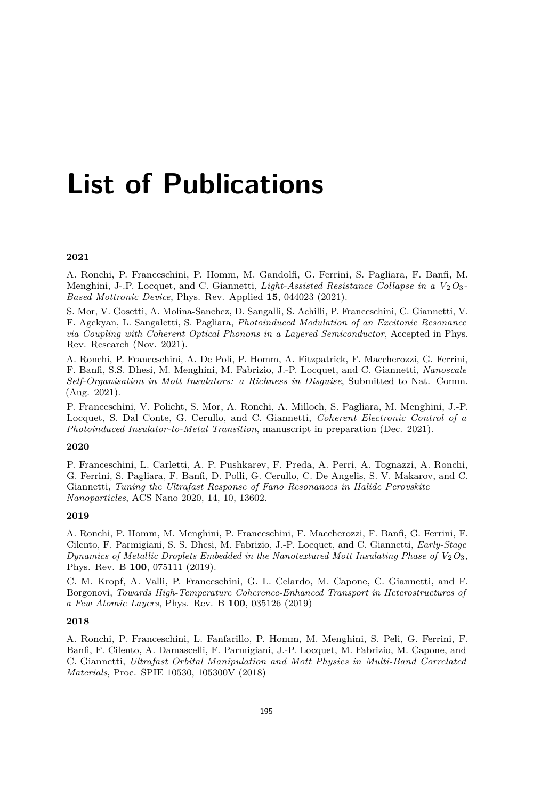## **List of Publications**

#### **2021**

A. Ronchi, P. Franceschini, P. Homm, M. Gandolfi, G. Ferrini, S. Pagliara, F. Banfi, M. Menghini, J-.P. Locquet, and C. Giannetti, *Light-Assisted Resistance Collapse in a V*<sub>2</sub>O<sub>3</sub>-*Based Mottronic Device*, Phys. Rev. Applied **15**, 044023 (2021).

S. Mor, V. Gosetti, A. Molina-Sanchez, D. Sangalli, S. Achilli, P. Franceschini, C. Giannetti, V. F. Agekyan, L. Sangaletti, S. Pagliara, *Photoinduced Modulation of an Excitonic Resonance via Coupling with Coherent Optical Phonons in a Layered Semiconductor*, Accepted in Phys. Rev. Research (Nov. 2021).

A. Ronchi, P. Franceschini, A. De Poli, P. Homm, A. Fitzpatrick, F. Maccherozzi, G. Ferrini, F. Banfi, S.S. Dhesi, M. Menghini, M. Fabrizio, J.-P. Locquet, and C. Giannetti, *Nanoscale Self-Organisation in Mott Insulators: a Richness in Disguise*, Submitted to Nat. Comm. (Aug. 2021).

P. Franceschini, V. Policht, S. Mor, A. Ronchi, A. Milloch, S. Pagliara, M. Menghini, J.-P. Locquet, S. Dal Conte, G. Cerullo, and C. Giannetti, *Coherent Electronic Control of a Photoinduced Insulator-to-Metal Transition*, manuscript in preparation (Dec. 2021).

#### **2020**

P. Franceschini, L. Carletti, A. P. Pushkarev, F. Preda, A. Perri, A. Tognazzi, A. Ronchi, G. Ferrini, S. Pagliara, F. Banfi, D. Polli, G. Cerullo, C. De Angelis, S. V. Makarov, and C. Giannetti, *Tuning the Ultrafast Response of Fano Resonances in Halide Perovskite Nanoparticles*, ACS Nano 2020, 14, 10, 13602.

#### **2019**

A. Ronchi, P. Homm, M. Menghini, P. Franceschini, F. Maccherozzi, F. Banfi, G. Ferrini, F. Cilento, F. Parmigiani, S. S. Dhesi, M. Fabrizio, J.-P. Locquet, and C. Giannetti, *Early-Stage Dynamics of Metallic Droplets Embedded in the Nanotextured Mott Insulating Phase of*  $V_2O_3$ *,* Phys. Rev. B **100**, 075111 (2019).

C. M. Kropf, A. Valli, P. Franceschini, G. L. Celardo, M. Capone, C. Giannetti, and F. Borgonovi, *Towards High-Temperature Coherence-Enhanced Transport in Heterostructures of a Few Atomic Layers*, Phys. Rev. B **100**, 035126 (2019)

#### **2018**

A. Ronchi, P. Franceschini, L. Fanfarillo, P. Homm, M. Menghini, S. Peli, G. Ferrini, F. Banfi, F. Cilento, A. Damascelli, F. Parmigiani, J.-P. Locquet, M. Fabrizio, M. Capone, and C. Giannetti, *Ultrafast Orbital Manipulation and Mott Physics in Multi-Band Correlated Materials*, Proc. SPIE 10530, 105300V (2018)